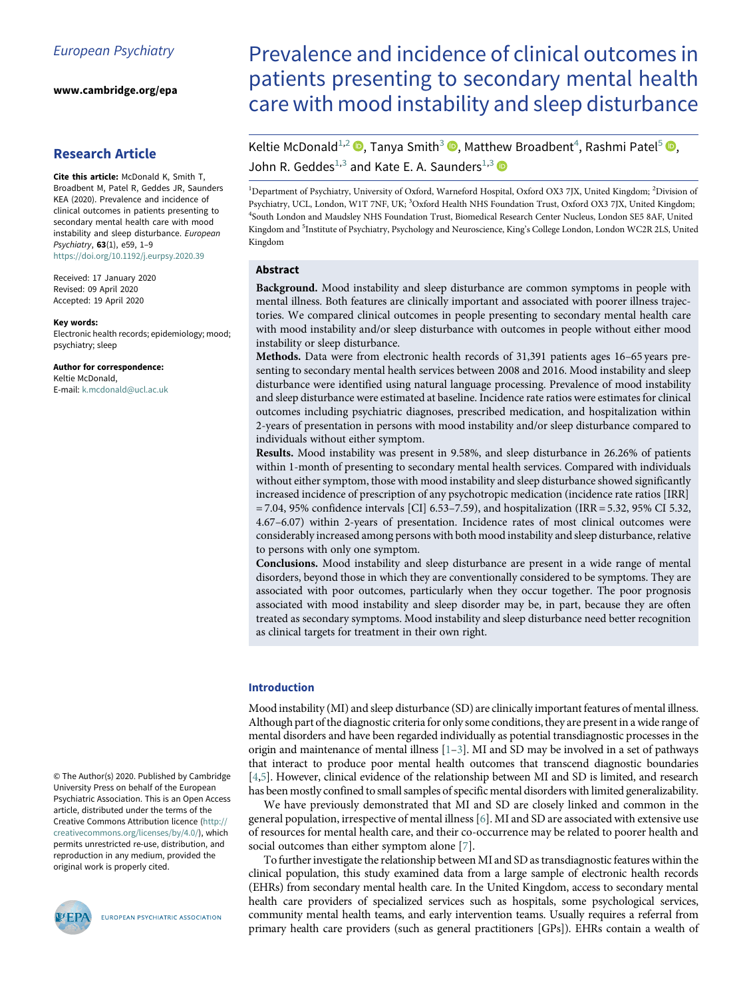www.cambridge.org/epa

# Research Article

<span id="page-0-2"></span><span id="page-0-1"></span><span id="page-0-0"></span>Cite this article: McDonald K, Smith T, Broadbent M, Patel R, Geddes JR, Saunders KEA (2020). Prevalence and incidence of clinical outcomes in patients presenting to secondary mental health care with mood instability and sleep disturbance. European Psychiatry, 63(1), e59, 1–9 <https://doi.org/10.1192/j.eurpsy.2020.39>

Received: 17 January 2020 Revised: 09 April 2020 Accepted: 19 April 2020

#### Key words:

Electronic health records; epidemiology; mood; psychiatry; sleep

Author for correspondence: Keltie McDonald, E-mail: [k.mcdonald@ucl.ac.uk](mailto:k.mcdonald@ucl.ac.uk)

© The Author(s) 2020. Published by Cambridge University Press on behalf of the European Psychiatric Association. This is an Open Access article, distributed under the terms of the Creative Commons Attribution licence [\(http://](http://creativecommons.org/licenses/by/4.0/) [creativecommons.org/licenses/by/4.0/\)](http://creativecommons.org/licenses/by/4.0/), which permits unrestricted re-use, distribution, and reproduction in any medium, provided the original work is properly cited.



EUROPEAN PSYCHIATRIC ASSOCIATION

# Prevalence and incidence of clinical outcomes in patients presenting to secondary mental health care with mood instability and sleep disturbance

Keltie McDonald<sup>[1,2](#page-0-0)</sup> <sup>O</sup>, Tanya Smith<sup>[3](#page-0-1)</sup> <sup>O</sup>, Matthew Broadbent<sup>[4](#page-0-1)</sup>, Rashmi Patel<sup>[5](#page-0-2)</sup> <sup>O</sup>[,](https://orcid.org/0000-0002-9259-8788) John R. Geddes<sup>[1](#page-0-0),[3](#page-0-1)</sup> and Kate E. A. Saunders<sup>1[,3](#page-0-1)</sup>  $\bullet$ 

<sup>1</sup>Department of Psychiatry, University of Oxford, Warneford Hospital, Oxford OX3 7JX, United Kingdom; <sup>2</sup>Division of Psychiatry, UCL, London, W1T 7NF, UK; <sup>3</sup>Oxford Health NHS Foundation Trust, Oxford OX3 7JX, United Kingdom; 4 South London and Maudsley NHS Foundation Trust, Biomedical Research Center Nucleus, London SE5 8AF, United Kingdom and <sup>5</sup>Institute of Psychiatry, Psychology and Neuroscience, King's College London, London WC2R 2LS, United Kingdom

# Abstract

Background. Mood instability and sleep disturbance are common symptoms in people with mental illness. Both features are clinically important and associated with poorer illness trajectories. We compared clinical outcomes in people presenting to secondary mental health care with mood instability and/or sleep disturbance with outcomes in people without either mood instability or sleep disturbance.

Methods. Data were from electronic health records of 31,391 patients ages 16–65 years presenting to secondary mental health services between 2008 and 2016. Mood instability and sleep disturbance were identified using natural language processing. Prevalence of mood instability and sleep disturbance were estimated at baseline. Incidence rate ratios were estimates for clinical outcomes including psychiatric diagnoses, prescribed medication, and hospitalization within 2-years of presentation in persons with mood instability and/or sleep disturbance compared to individuals without either symptom.

Results. Mood instability was present in 9.58%, and sleep disturbance in 26.26% of patients within 1-month of presenting to secondary mental health services. Compared with individuals without either symptom, those with mood instability and sleep disturbance showed significantly increased incidence of prescription of any psychotropic medication (incidence rate ratios [IRR] = 7.04, 95% confidence intervals [CI] 6.53–7.59), and hospitalization (IRR = 5.32, 95% CI 5.32, 4.67–6.07) within 2-years of presentation. Incidence rates of most clinical outcomes were considerably increased among persons with both mood instability and sleep disturbance, relative to persons with only one symptom.

Conclusions. Mood instability and sleep disturbance are present in a wide range of mental disorders, beyond those in which they are conventionally considered to be symptoms. They are associated with poor outcomes, particularly when they occur together. The poor prognosis associated with mood instability and sleep disorder may be, in part, because they are often treated as secondary symptoms. Mood instability and sleep disturbance need better recognition as clinical targets for treatment in their own right.

#### Introduction

Mood instability (MI) and sleep disturbance (SD) are clinically important features of mental illness. Although part of the diagnostic criteria for only some conditions, they are present in a wide range of mental disorders and have been regarded individually as potential transdiagnostic processes in the origin and maintenance of mental illness [\[1](#page-8-0)–[3\]](#page-8-1). MI and SD may be involved in a set of pathways that interact to produce poor mental health outcomes that transcend diagnostic boundaries [[4](#page-8-2)[,5\]](#page-8-3). However, clinical evidence of the relationship between MI and SD is limited, and research has been mostly confined to small samples of specific mental disorders with limited generalizability.

We have previously demonstrated that MI and SD are closely linked and common in the general population, irrespective of mental illness [[6](#page-8-4)]. MI and SD are associated with extensive use of resources for mental health care, and their co-occurrence may be related to poorer health and social outcomes than either symptom alone [[7\]](#page-8-5).

To further investigate the relationship between MI and SD as transdiagnostic features within the clinical population, this study examined data from a large sample of electronic health records (EHRs) from secondary mental health care. In the United Kingdom, access to secondary mental health care providers of specialized services such as hospitals, some psychological services, community mental health teams, and early intervention teams. Usually requires a referral from primary health care providers (such as general practitioners [GPs]). EHRs contain a wealth of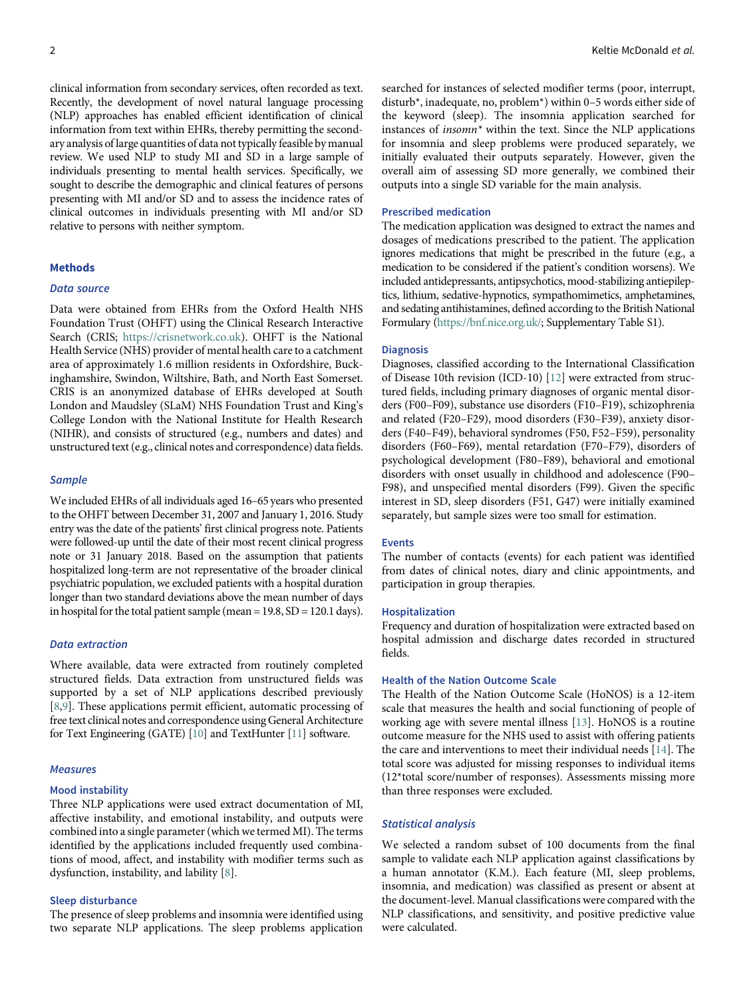clinical information from secondary services, often recorded as text. Recently, the development of novel natural language processing (NLP) approaches has enabled efficient identification of clinical information from text within EHRs, thereby permitting the secondary analysis of large quantities of data not typically feasible by manual review. We used NLP to study MI and SD in a large sample of individuals presenting to mental health services. Specifically, we sought to describe the demographic and clinical features of persons presenting with MI and/or SD and to assess the incidence rates of clinical outcomes in individuals presenting with MI and/or SD relative to persons with neither symptom.

# **Mathods**

# Data source

Data were obtained from EHRs from the Oxford Health NHS Foundation Trust (OHFT) using the Clinical Research Interactive Search (CRIS; [https://crisnetwork.co.uk\)](https://crisnetwork.co.uk). OHFT is the National Health Service (NHS) provider of mental health care to a catchment area of approximately 1.6 million residents in Oxfordshire, Buckinghamshire, Swindon, Wiltshire, Bath, and North East Somerset. CRIS is an anonymized database of EHRs developed at South London and Maudsley (SLaM) NHS Foundation Trust and King's College London with the National Institute for Health Research (NIHR), and consists of structured (e.g., numbers and dates) and unstructured text (e.g., clinical notes and correspondence) datafields.

## **Sample**

We included EHRs of all individuals aged 16–65 years who presented to the OHFT between December 31, 2007 and January 1, 2016. Study entry was the date of the patients' first clinical progress note. Patients were followed-up until the date of their most recent clinical progress note or 31 January 2018. Based on the assumption that patients hospitalized long-term are not representative of the broader clinical psychiatric population, we excluded patients with a hospital duration longer than two standard deviations above the mean number of days in hospital for the total patient sample (mean  $= 19.8$ , SD  $= 120.1$  days).

#### Data extraction

Where available, data were extracted from routinely completed structured fields. Data extraction from unstructured fields was supported by a set of NLP applications described previously [[8](#page-8-6),[9](#page-8-7)]. These applications permit efficient, automatic processing of free text clinical notes and correspondence using General Architecture for Text Engineering (GATE) [\[10\]](#page-8-8) and TextHunter [[11\]](#page-8-9) software.

#### **Measures**

#### Mood instability

Three NLP applications were used extract documentation of MI, affective instability, and emotional instability, and outputs were combined into a single parameter (which we termed MI). The terms identified by the applications included frequently used combinations of mood, affect, and instability with modifier terms such as dysfunction, instability, and lability [[8](#page-8-6)].

# Sleep disturbance

The presence of sleep problems and insomnia were identified using two separate NLP applications. The sleep problems application searched for instances of selected modifier terms (poor, interrupt, disturb\*, inadequate, no, problem\*) within 0–5 words either side of the keyword (sleep). The insomnia application searched for instances of insomn\* within the text. Since the NLP applications for insomnia and sleep problems were produced separately, we initially evaluated their outputs separately. However, given the overall aim of assessing SD more generally, we combined their outputs into a single SD variable for the main analysis.

#### Prescribed medication

The medication application was designed to extract the names and dosages of medications prescribed to the patient. The application ignores medications that might be prescribed in the future (e.g., a medication to be considered if the patient's condition worsens). We included antidepressants, antipsychotics, mood-stabilizing antiepileptics, lithium, sedative-hypnotics, sympathomimetics, amphetamines, and sedating antihistamines, defined according to the British National Formulary (<https://bnf.nice.org.uk/>; Supplementary Table S1).

#### Diagnosis

Diagnoses, classified according to the International Classification of Disease 10th revision (ICD-10) [\[12\]](#page-8-10) were extracted from structured fields, including primary diagnoses of organic mental disorders (F00–F09), substance use disorders (F10–F19), schizophrenia and related (F20–F29), mood disorders (F30–F39), anxiety disorders (F40–F49), behavioral syndromes (F50, F52–F59), personality disorders (F60–F69), mental retardation (F70–F79), disorders of psychological development (F80–F89), behavioral and emotional disorders with onset usually in childhood and adolescence (F90– F98), and unspecified mental disorders (F99). Given the specific interest in SD, sleep disorders (F51, G47) were initially examined separately, but sample sizes were too small for estimation.

# Events

The number of contacts (events) for each patient was identified from dates of clinical notes, diary and clinic appointments, and participation in group therapies.

#### Hospitalization

Frequency and duration of hospitalization were extracted based on hospital admission and discharge dates recorded in structured fields.

## Health of the Nation Outcome Scale

The Health of the Nation Outcome Scale (HoNOS) is a 12-item scale that measures the health and social functioning of people of working age with severe mental illness [\[13](#page-8-11)]. HoNOS is a routine outcome measure for the NHS used to assist with offering patients the care and interventions to meet their individual needs [\[14](#page-8-12)]. The total score was adjusted for missing responses to individual items (12\*total score/number of responses). Assessments missing more than three responses were excluded.

## Statistical analysis

We selected a random subset of 100 documents from the final sample to validate each NLP application against classifications by a human annotator (K.M.). Each feature (MI, sleep problems, insomnia, and medication) was classified as present or absent at the document-level. Manual classifications were compared with the NLP classifications, and sensitivity, and positive predictive value were calculated.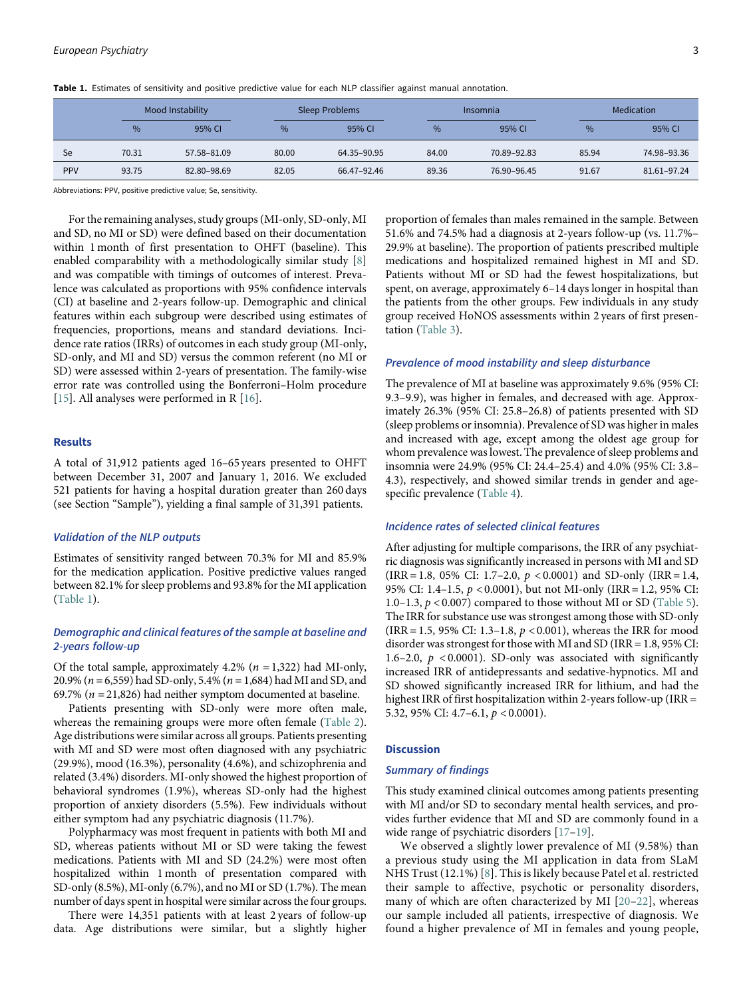Table 1. Estimates of sensitivity and positive predictive value for each NLP classifier against manual annotation.

|            |       | Mood Instability |       | <b>Sleep Problems</b> |       | Insomnia    | Medication |             |  |
|------------|-------|------------------|-------|-----------------------|-------|-------------|------------|-------------|--|
|            | $\%$  | 95% CI           | $\%$  | 95% CI                | %     | 95% CI      | %          | 95% CI      |  |
| Se         | 70.31 | 57.58-81.09      | 80.00 | 64.35-90.95           | 84.00 | 70.89-92.83 | 85.94      | 74.98-93.36 |  |
| <b>PPV</b> | 93.75 | 82.80-98.69      | 82.05 | 66.47–92.46           | 89.36 | 76.90-96.45 | 91.67      | 81.61-97.24 |  |

<span id="page-2-0"></span>Abbreviations: PPV, positive predictive value; Se, sensitivity.

For the remaining analyses, study groups (MI-only, SD-only, MI and SD, no MI or SD) were defined based on their documentation within 1 month of first presentation to OHFT (baseline). This enabled comparability with a methodologically similar study [[8](#page-8-6)] and was compatible with timings of outcomes of interest. Prevalence was calculated as proportions with 95% confidence intervals (CI) at baseline and 2-years follow-up. Demographic and clinical features within each subgroup were described using estimates of frequencies, proportions, means and standard deviations. Incidence rate ratios (IRRs) of outcomes in each study group (MI-only, SD-only, and MI and SD) versus the common referent (no MI or SD) were assessed within 2-years of presentation. The family-wise error rate was controlled using the Bonferroni–Holm procedure [[15\]](#page-8-13). All analyses were performed in R [[16\]](#page-8-14).

## Results

A total of 31,912 patients aged 16–65 years presented to OHFT between December 31, 2007 and January 1, 2016. We excluded 521 patients for having a hospital duration greater than 260 days (see Section "Sample"), yielding a final sample of 31,391 patients.

# Validation of the NLP outputs

Estimates of sensitivity ranged between 70.3% for MI and 85.9% for the medication application. Positive predictive values ranged between 82.1% for sleep problems and 93.8% for the MI application ([Table 1\)](#page-2-0).

# Demographic and clinical features of the sample at baseline and 2-years follow-up

Of the total sample, approximately 4.2% ( $n = 1,322$ ) had MI-only, 20.9% ( $n = 6,559$ ) had SD-only, 5.4% ( $n = 1,684$ ) had MI and SD, and 69.7% ( $n = 21,826$ ) had neither symptom documented at baseline.

Patients presenting with SD-only were more often male, whereas the remaining groups were more often female ([Table 2](#page-3-0)). Age distributions were similar across all groups. Patients presenting with MI and SD were most often diagnosed with any psychiatric (29.9%), mood (16.3%), personality (4.6%), and schizophrenia and related (3.4%) disorders. MI-only showed the highest proportion of behavioral syndromes (1.9%), whereas SD-only had the highest proportion of anxiety disorders (5.5%). Few individuals without either symptom had any psychiatric diagnosis (11.7%).

Polypharmacy was most frequent in patients with both MI and SD, whereas patients without MI or SD were taking the fewest medications. Patients with MI and SD (24.2%) were most often hospitalized within 1 month of presentation compared with SD-only (8.5%), MI-only (6.7%), and no MI or SD (1.7%). The mean number of days spent in hospital were similar across the four groups.

There were 14,351 patients with at least 2 years of follow-up data. Age distributions were similar, but a slightly higher

proportion of females than males remained in the sample. Between 51.6% and 74.5% had a diagnosis at 2-years follow-up (vs. 11.7%– 29.9% at baseline). The proportion of patients prescribed multiple medications and hospitalized remained highest in MI and SD. Patients without MI or SD had the fewest hospitalizations, but spent, on average, approximately 6–14 days longer in hospital than the patients from the other groups. Few individuals in any study group received HoNOS assessments within 2 years of first presentation [\(Table 3](#page-5-0)).

# Prevalence of mood instability and sleep disturbance

The prevalence of MI at baseline was approximately 9.6% (95% CI: 9.3–9.9), was higher in females, and decreased with age. Approximately 26.3% (95% CI: 25.8–26.8) of patients presented with SD (sleep problems or insomnia). Prevalence of SD was higher in males and increased with age, except among the oldest age group for whom prevalence was lowest. The prevalence of sleep problems and insomnia were 24.9% (95% CI: 24.4–25.4) and 4.0% (95% CI: 3.8– 4.3), respectively, and showed similar trends in gender and agespecific prevalence ([Table 4\)](#page-6-0).

# Incidence rates of selected clinical features

After adjusting for multiple comparisons, the IRR of any psychiatric diagnosis was significantly increased in persons with MI and SD (IRR = 1.8, 05% CI: 1.7–2.0,  $p < 0.0001$ ) and SD-only (IRR = 1.4, 95% CI: 1.4–1.5, p < 0.0001), but not MI-only (IRR = 1.2, 95% CI: 1.0–1.3,  $p < 0.007$ ) compared to those without MI or SD [\(Table 5](#page-7-0)). The IRR for substance use was strongest among those with SD-only (IRR = 1.5, 95% CI: 1.3–1.8, p < 0.001), whereas the IRR for mood disorder was strongest for those with MI and SD (IRR = 1.8, 95% CI: 1.6–2.0,  $p \leq 0.0001$ ). SD-only was associated with significantly increased IRR of antidepressants and sedative-hypnotics. MI and SD showed significantly increased IRR for lithium, and had the highest IRR of first hospitalization within 2-years follow-up (IRR = 5.32, 95% CI: 4.7–6.1, p < 0.0001).

# **Discussion**

# Summary of findings

This study examined clinical outcomes among patients presenting with MI and/or SD to secondary mental health services, and provides further evidence that MI and SD are commonly found in a wide range of psychiatric disorders [\[17](#page-8-15)–[19](#page-8-16)].

We observed a slightly lower prevalence of MI (9.58%) than a previous study using the MI application in data from SLaM NHS Trust (12.1%) [\[8](#page-8-6)]. This is likely because Patel et al. restricted their sample to affective, psychotic or personality disorders, many of which are often characterized by MI [[20](#page-8-17)–[22\]](#page-8-18), whereas our sample included all patients, irrespective of diagnosis. We found a higher prevalence of MI in females and young people,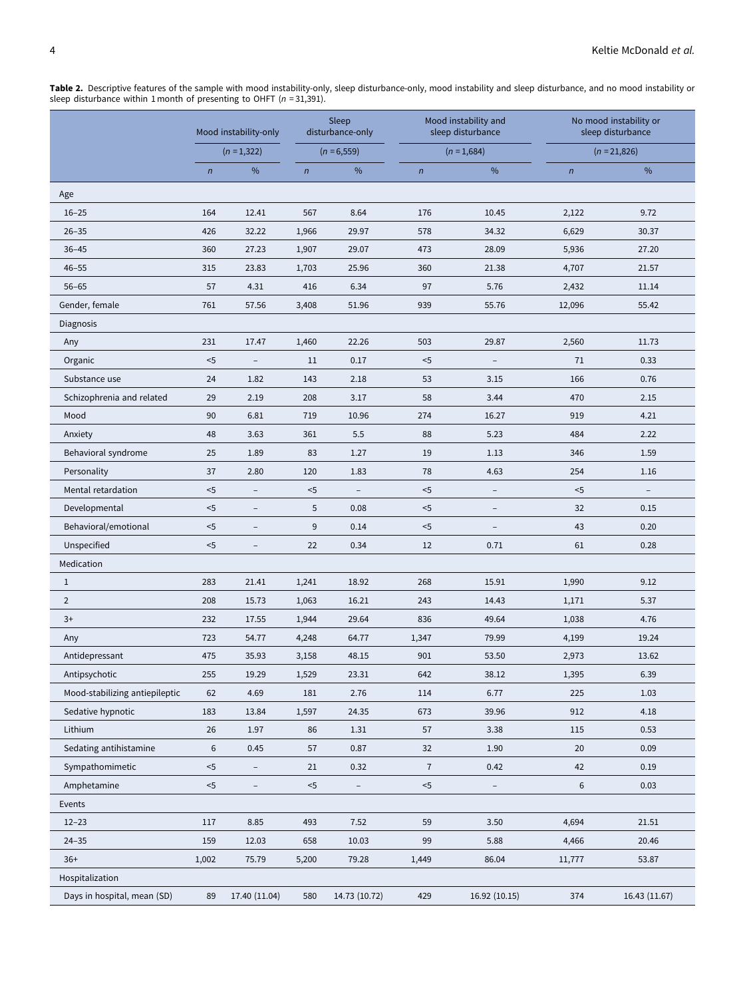|                                | Mood instability-only |                          | Sleep<br>disturbance-only |                          |                | Mood instability and<br>sleep disturbance | No mood instability or<br>sleep disturbance |                          |  |
|--------------------------------|-----------------------|--------------------------|---------------------------|--------------------------|----------------|-------------------------------------------|---------------------------------------------|--------------------------|--|
|                                |                       | $(n=1,322)$              |                           | $(n = 6, 559)$           |                | $(n = 1,684)$                             |                                             | $(n = 21,826)$           |  |
|                                | $\sqrt{n}$            | $\%$                     | $\sqrt{n}$                | %                        | $\sqrt{n}$     | $\%$                                      | $\sqrt{n}$                                  | %                        |  |
| Age                            |                       |                          |                           |                          |                |                                           |                                             |                          |  |
| $16 - 25$                      | 164                   | 12.41                    | 567                       | 8.64                     | 176            | 10.45                                     | 2,122                                       | 9.72                     |  |
| $26 - 35$                      | 426                   | 32.22                    | 1,966                     | 29.97                    | 578            | 34.32                                     | 6,629                                       | 30.37                    |  |
| $36 - 45$                      | 360                   | 27.23                    | 1,907                     | 29.07                    | 473            | 28.09                                     | 5,936                                       | 27.20                    |  |
| $46 - 55$                      | 315                   | 23.83                    | 1,703                     | 25.96                    | 360            | 21.38                                     | 4,707                                       | 21.57                    |  |
| $56 - 65$                      | 57                    | 4.31                     | 416                       | 6.34                     | 97             | 5.76                                      | 2,432                                       | 11.14                    |  |
| Gender, female                 | 761                   | 57.56                    | 3,408                     | 51.96                    | 939            | 55.76                                     | 12,096                                      | 55.42                    |  |
| Diagnosis                      |                       |                          |                           |                          |                |                                           |                                             |                          |  |
| Any                            | 231                   | 17.47                    | 1,460                     | 22.26                    | 503            | 29.87                                     | 2,560                                       | 11.73                    |  |
| Organic                        | $<$ 5                 | $\overline{a}$           | 11                        | 0.17                     | $<$ 5          | $\overline{a}$                            | 71                                          | 0.33                     |  |
| Substance use                  | 24                    | 1.82                     | 143                       | 2.18                     | 53             | 3.15                                      | 166                                         | 0.76                     |  |
| Schizophrenia and related      | 29                    | 2.19                     | 208                       | 3.17                     | 58             | 3.44                                      | 470                                         | 2.15                     |  |
| Mood                           | 90                    | 6.81                     | 719                       | 10.96                    | 274            | 16.27                                     | 919                                         | 4.21                     |  |
| Anxiety                        | 48                    | 3.63                     | 361                       | 5.5                      | 88             | 5.23                                      | 484                                         | 2.22                     |  |
| Behavioral syndrome            | 25                    | 1.89                     | 83                        | 1.27                     | 19             | 1.13                                      | 346                                         | 1.59                     |  |
| Personality                    | 37                    | 2.80                     | 120                       | 1.83                     | 78             | 4.63                                      | 254                                         | 1.16                     |  |
| Mental retardation             | $5$                   | $\overline{\phantom{a}}$ | $<$ 5                     | $\overline{\phantom{0}}$ | $< 5$          | $\overline{\phantom{0}}$                  | $<$ 5                                       | $\overline{\phantom{a}}$ |  |
| Developmental                  | $5$                   | $\qquad \qquad -$        | 5                         | 0.08                     | $<$ 5          |                                           | 32                                          | 0.15                     |  |
| Behavioral/emotional           | $5$                   | $\overline{\phantom{a}}$ | 9                         | 0.14                     | $<$ 5          | $\overline{\phantom{0}}$                  | 43                                          | 0.20                     |  |
| Unspecified                    | $5$                   |                          | 22                        | 0.34                     | 12             | 0.71                                      | 61                                          | 0.28                     |  |
| Medication                     |                       |                          |                           |                          |                |                                           |                                             |                          |  |
| $\mathbf{1}$                   | 283                   | 21.41                    | 1,241                     | 18.92                    | 268            | 15.91                                     | 1,990                                       | 9.12                     |  |
| $\overline{2}$                 | 208                   | 15.73                    | 1,063                     | 16.21                    | 243            | 14.43                                     | 1,171                                       | 5.37                     |  |
| $3+$                           | 232                   | 17.55                    | 1,944                     | 29.64                    | 836            | 49.64                                     | 1,038                                       | 4.76                     |  |
| Any                            | 723                   | 54.77                    | 4,248                     | 64.77                    | 1,347          | 79.99                                     | 4,199                                       | 19.24                    |  |
| Antidepressant                 | 475                   | 35.93                    | 3,158                     | 48.15                    | 901            | 53.50                                     | 2,973                                       | 13.62                    |  |
| Antipsychotic                  | 255                   | 19.29                    | 1,529                     | 23.31                    | 642            | 38.12                                     | 1,395                                       | 6.39                     |  |
| Mood-stabilizing antiepileptic | 62                    | 4.69                     | 181                       | 2.76                     | 114            | 6.77                                      | 225                                         | 1.03                     |  |
| Sedative hypnotic              | 183                   | 13.84                    | 1,597                     | 24.35                    | 673            | 39.96                                     | 912                                         | 4.18                     |  |
| Lithium                        | 26                    | 1.97                     | 86                        | 1.31                     | 57             | 3.38                                      | 115                                         | 0.53                     |  |
| Sedating antihistamine         | $\boldsymbol{6}$      | 0.45                     | 57                        | 0.87                     | 32             | 1.90                                      | 20                                          | 0.09                     |  |
| Sympathomimetic                | $5$                   |                          | 21                        | 0.32                     | $\overline{7}$ | 0.42                                      | 42                                          | 0.19                     |  |
| Amphetamine                    | $5$                   |                          | $< 5$                     | -                        | $<5$           | $\overline{\phantom{0}}$                  | 6                                           | 0.03                     |  |
| Events                         |                       |                          |                           |                          |                |                                           |                                             |                          |  |
| $12 - 23$                      | 117                   | 8.85                     | 493                       | 7.52                     | 59             | 3.50                                      | 4,694                                       | 21.51                    |  |
| $24 - 35$                      | 159                   | 12.03                    | 658                       | 10.03                    | 99             | 5.88                                      | 4,466                                       | 20.46                    |  |
| $36+$                          | 1,002                 | 75.79                    | 5,200                     | 79.28                    | 1,449          | 86.04                                     | 11,777                                      | 53.87                    |  |
| Hospitalization                |                       |                          |                           |                          |                |                                           |                                             |                          |  |
| Days in hospital, mean (SD)    | 89                    | 17.40 (11.04)            | 580                       | 14.73 (10.72)            | 429            | 16.92 (10.15)                             | 374                                         | 16.43 (11.67)            |  |

<span id="page-3-0"></span>**Table 2.** Descriptive features of the sample with mood instability-only, sleep disturbance-only, mood instability and sleep disturbance, and no mood instability or<br>sleep disturbance within 1 month of presenting to OHFT (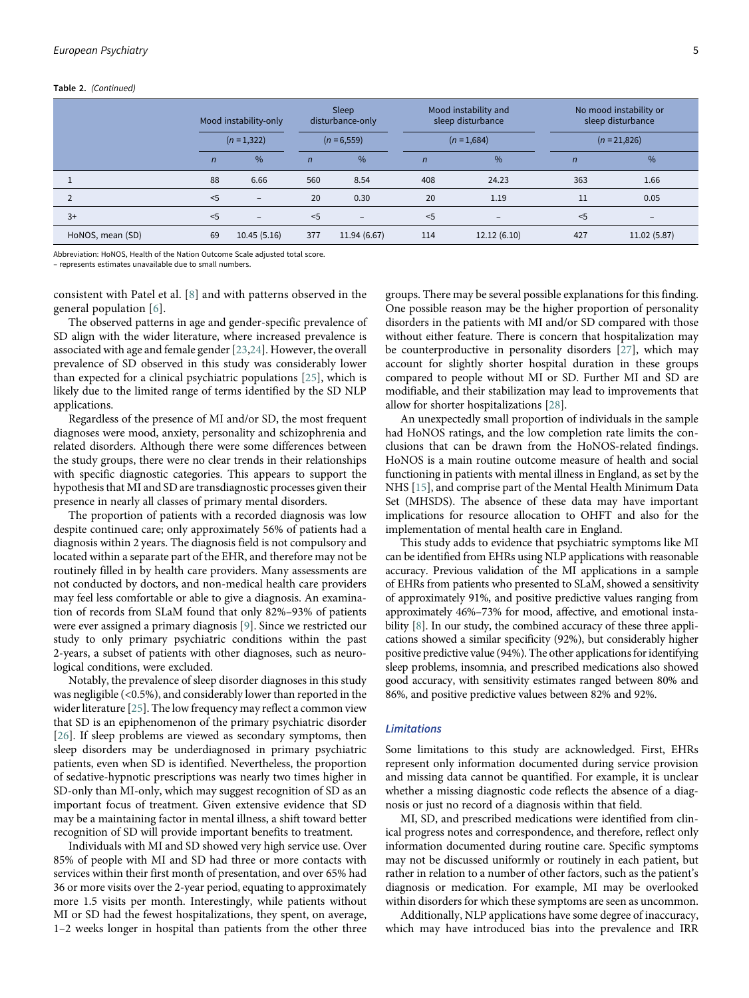#### Table 2. (Continued)

|                  | Mood instability-only<br>$(n=1,322)$ |                   | Sleep<br>disturbance-only<br>$(n = 6, 559)$ |                   |                | Mood instability and<br>sleep disturbance | No mood instability or<br>sleep disturbance<br>$(n = 21,826)$ |                   |  |
|------------------|--------------------------------------|-------------------|---------------------------------------------|-------------------|----------------|-------------------------------------------|---------------------------------------------------------------|-------------------|--|
|                  |                                      |                   |                                             |                   |                | $(n=1,684)$                               |                                                               |                   |  |
|                  | $\overline{n}$                       | $\frac{0}{6}$     | $\mathsf{n}$                                | $\%$              | $\overline{n}$ | $\frac{0}{6}$                             | $\overline{n}$                                                | $\%$              |  |
|                  | 88                                   | 6.66              | 560                                         | 8.54              | 408            | 24.23                                     | 363                                                           | 1.66              |  |
|                  | $<$ 5                                | $\qquad \qquad -$ | 20                                          | 0.30              | 20             | 1.19                                      | 11                                                            | 0.05              |  |
| $3+$             | < 5                                  | $\qquad \qquad -$ | < 5                                         | $\qquad \qquad -$ | < 5            | $\overline{\phantom{a}}$                  | < 5                                                           | $\qquad \qquad -$ |  |
| HoNOS, mean (SD) | 69                                   | 10.45(5.16)       | 377                                         | 11.94 (6.67)      | 114            | 12.12(6.10)                               | 427                                                           | 11.02 (5.87)      |  |

Abbreviation: HoNOS, Health of the Nation Outcome Scale adjusted total score.

– represents estimates unavailable due to small numbers.

consistent with Patel et al. [\[8\]](#page-8-6) and with patterns observed in the general population [[6](#page-8-4)].

The observed patterns in age and gender-specific prevalence of SD align with the wider literature, where increased prevalence is associated with age and female gender [[23,](#page-8-19)[24](#page-8-20)]. However, the overall prevalence of SD observed in this study was considerably lower than expected for a clinical psychiatric populations [[25\]](#page-8-21), which is likely due to the limited range of terms identified by the SD NLP applications.

Regardless of the presence of MI and/or SD, the most frequent diagnoses were mood, anxiety, personality and schizophrenia and related disorders. Although there were some differences between the study groups, there were no clear trends in their relationships with specific diagnostic categories. This appears to support the hypothesis that MI and SD are transdiagnostic processes given their presence in nearly all classes of primary mental disorders.

The proportion of patients with a recorded diagnosis was low despite continued care; only approximately 56% of patients had a diagnosis within 2 years. The diagnosis field is not compulsory and located within a separate part of the EHR, and therefore may not be routinely filled in by health care providers. Many assessments are not conducted by doctors, and non-medical health care providers may feel less comfortable or able to give a diagnosis. An examination of records from SLaM found that only 82%–93% of patients were ever assigned a primary diagnosis [\[9\]](#page-8-7). Since we restricted our study to only primary psychiatric conditions within the past 2-years, a subset of patients with other diagnoses, such as neurological conditions, were excluded.

Notably, the prevalence of sleep disorder diagnoses in this study was negligible (<0.5%), and considerably lower than reported in the wider literature [\[25\]](#page-8-21). The low frequency may reflect a common view that SD is an epiphenomenon of the primary psychiatric disorder [[26\]](#page-8-22). If sleep problems are viewed as secondary symptoms, then sleep disorders may be underdiagnosed in primary psychiatric patients, even when SD is identified. Nevertheless, the proportion of sedative-hypnotic prescriptions was nearly two times higher in SD-only than MI-only, which may suggest recognition of SD as an important focus of treatment. Given extensive evidence that SD may be a maintaining factor in mental illness, a shift toward better recognition of SD will provide important benefits to treatment.

Individuals with MI and SD showed very high service use. Over 85% of people with MI and SD had three or more contacts with services within their first month of presentation, and over 65% had 36 or more visits over the 2-year period, equating to approximately more 1.5 visits per month. Interestingly, while patients without MI or SD had the fewest hospitalizations, they spent, on average, 1–2 weeks longer in hospital than patients from the other three

groups. There may be several possible explanations for this finding. One possible reason may be the higher proportion of personality disorders in the patients with MI and/or SD compared with those without either feature. There is concern that hospitalization may be counterproductive in personality disorders [[27\]](#page-8-23), which may account for slightly shorter hospital duration in these groups compared to people without MI or SD. Further MI and SD are modifiable, and their stabilization may lead to improvements that allow for shorter hospitalizations [[28\]](#page-8-24).

An unexpectedly small proportion of individuals in the sample had HoNOS ratings, and the low completion rate limits the conclusions that can be drawn from the HoNOS-related findings. HoNOS is a main routine outcome measure of health and social functioning in patients with mental illness in England, as set by the NHS [\[15](#page-8-13)], and comprise part of the Mental Health Minimum Data Set (MHSDS). The absence of these data may have important implications for resource allocation to OHFT and also for the implementation of mental health care in England.

This study adds to evidence that psychiatric symptoms like MI can be identified from EHRs using NLP applications with reasonable accuracy. Previous validation of the MI applications in a sample of EHRs from patients who presented to SLaM, showed a sensitivity of approximately 91%, and positive predictive values ranging from approximately 46%–73% for mood, affective, and emotional insta-bility [[8](#page-8-6)]. In our study, the combined accuracy of these three applications showed a similar specificity (92%), but considerably higher positive predictive value (94%). The other applications for identifying sleep problems, insomnia, and prescribed medications also showed good accuracy, with sensitivity estimates ranged between 80% and 86%, and positive predictive values between 82% and 92%.

# Limitations

Some limitations to this study are acknowledged. First, EHRs represent only information documented during service provision and missing data cannot be quantified. For example, it is unclear whether a missing diagnostic code reflects the absence of a diagnosis or just no record of a diagnosis within that field.

MI, SD, and prescribed medications were identified from clinical progress notes and correspondence, and therefore, reflect only information documented during routine care. Specific symptoms may not be discussed uniformly or routinely in each patient, but rather in relation to a number of other factors, such as the patient's diagnosis or medication. For example, MI may be overlooked within disorders for which these symptoms are seen as uncommon.

Additionally, NLP applications have some degree of inaccuracy, which may have introduced bias into the prevalence and IRR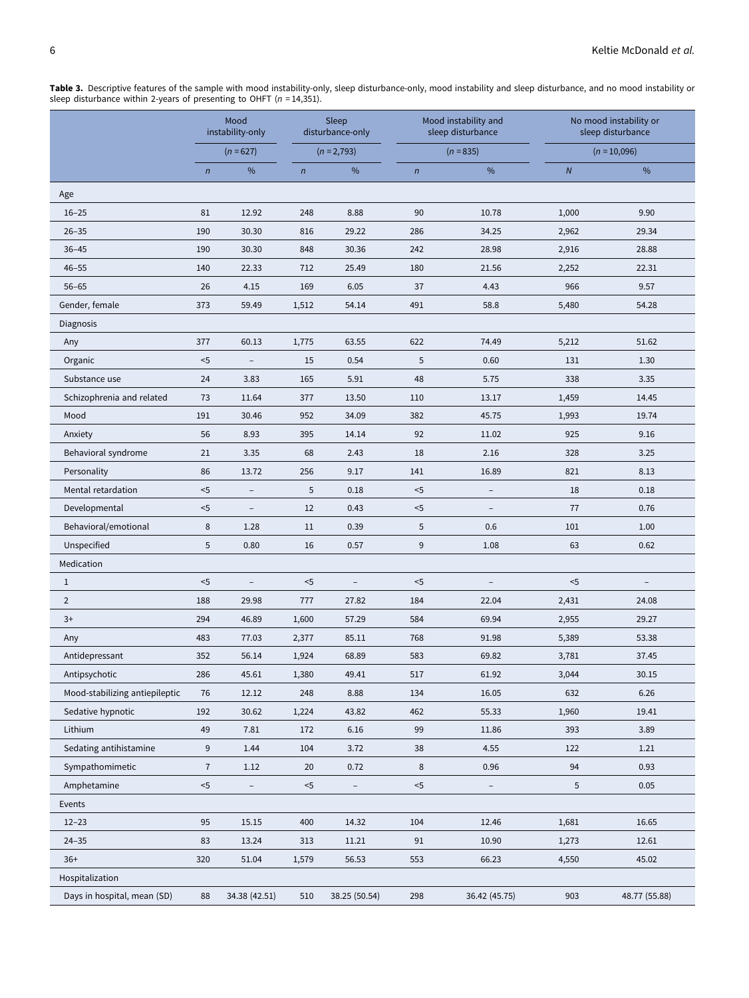|                                | Mood<br>instability-only<br>$(n = 627)$ |                          | Sleep<br>disturbance-only |                          |            | Mood instability and<br>sleep disturbance | No mood instability or<br>sleep disturbance |                |  |
|--------------------------------|-----------------------------------------|--------------------------|---------------------------|--------------------------|------------|-------------------------------------------|---------------------------------------------|----------------|--|
|                                |                                         |                          |                           | $(n = 2,793)$            |            | $(n = 835)$                               |                                             | $(n = 10,096)$ |  |
|                                | $\sqrt{n}$                              | %                        | $\sqrt{n}$                | $\%$                     | $\sqrt{n}$ | $\%$                                      | $\boldsymbol{N}$                            | $\%$           |  |
| Age                            |                                         |                          |                           |                          |            |                                           |                                             |                |  |
| $16 - 25$                      | 81                                      | 12.92                    | 248                       | 8.88                     | 90         | 10.78                                     | 1,000                                       | 9.90           |  |
| $26 - 35$                      | 190                                     | 30.30                    | 816                       | 29.22                    | 286        | 34.25                                     | 2,962                                       | 29.34          |  |
| $36 - 45$                      | 190                                     | 30.30                    | 848                       | 30.36                    | 242        | 28.98                                     | 2,916                                       | 28.88          |  |
| $46 - 55$                      | 140                                     | 22.33                    | 712                       | 25.49                    | 180        | 21.56                                     | 2,252                                       | 22.31          |  |
| $56 - 65$                      | 26                                      | 4.15                     | 169                       | 6.05                     | 37         | 4.43                                      | 966                                         | 9.57           |  |
| Gender, female                 | 373                                     | 59.49                    | 1,512                     | 54.14                    | 491        | 58.8                                      | 5,480                                       | 54.28          |  |
| Diagnosis                      |                                         |                          |                           |                          |            |                                           |                                             |                |  |
| Any                            | 377                                     | 60.13                    | 1,775                     | 63.55                    | 622        | 74.49                                     | 5,212                                       | 51.62          |  |
| Organic                        | $< 5$                                   | $\overline{\phantom{a}}$ | 15                        | 0.54                     | 5          | 0.60                                      | 131                                         | 1.30           |  |
| Substance use                  | 24                                      | 3.83                     | 165                       | 5.91                     | 48         | 5.75                                      | 338                                         | 3.35           |  |
| Schizophrenia and related      | 73                                      | 11.64                    | 377                       | 13.50                    | 110        | 13.17                                     | 1,459                                       | 14.45          |  |
| Mood                           | 191                                     | 30.46                    | 952                       | 34.09                    | 382        | 45.75                                     | 1,993                                       | 19.74          |  |
| Anxiety                        | 56                                      | 8.93                     | 395                       | 14.14                    | 92         | 11.02                                     | 925                                         | 9.16           |  |
| Behavioral syndrome            | 21                                      | 3.35                     | 68                        | 2.43                     | 18         | 2.16                                      | 328                                         | 3.25           |  |
| Personality                    | 86                                      | 13.72                    | 256                       | 9.17                     | 141        | 16.89                                     | 821                                         | 8.13           |  |
| Mental retardation             | $<$ 5                                   | $\overline{a}$           | $\overline{5}$            | 0.18                     | $5$        | $\overline{a}$                            | 18                                          | 0.18           |  |
| Developmental                  | $< 5$                                   | $\overline{\phantom{0}}$ | 12                        | 0.43                     | $<$ 5      |                                           | 77                                          | 0.76           |  |
| Behavioral/emotional           | 8                                       | 1.28                     | 11                        | 0.39                     | 5          | 0.6                                       | 101                                         | 1.00           |  |
| Unspecified                    | 5                                       | 0.80                     | 16                        | 0.57                     | 9          | 1.08                                      | 63                                          | 0.62           |  |
| Medication                     |                                         |                          |                           |                          |            |                                           |                                             |                |  |
| $\mathbf{1}$                   | $<$ 5                                   | $\overline{\phantom{a}}$ | $<$ 5                     | $\overline{\phantom{a}}$ | $<$ 5      | $\overline{\phantom{a}}$                  | $<$ 5                                       |                |  |
| $\overline{2}$                 | 188                                     | 29.98                    | 777                       | 27.82                    | 184        | 22.04                                     | 2,431                                       | 24.08          |  |
| $3+$                           | 294                                     | 46.89                    | 1,600                     | 57.29                    | 584        | 69.94                                     | 2,955                                       | 29.27          |  |
| Any                            | 483                                     | 77.03                    | 2,377                     | 85.11                    | 768        | 91.98                                     | 5,389                                       | 53.38          |  |
| Antidepressant                 | 352                                     | 56.14                    | 1,924                     | 68.89                    | 583        | 69.82                                     | 3,781                                       | 37.45          |  |
| Antipsychotic                  | 286                                     | 45.61                    | 1,380                     | 49.41                    | 517        | 61.92                                     | 3,044                                       | 30.15          |  |
| Mood-stabilizing antiepileptic | 76                                      | 12.12                    | 248                       | 8.88                     | 134        | 16.05                                     | 632                                         | 6.26           |  |
| Sedative hypnotic              | 192                                     | 30.62                    | 1,224                     | 43.82                    | 462        | 55.33                                     | 1,960                                       | 19.41          |  |
| Lithium                        | 49                                      | 7.81                     | 172                       | 6.16                     | 99         | 11.86                                     | 393                                         | 3.89           |  |
| Sedating antihistamine         | $\boldsymbol{9}$                        | 1.44                     | 104                       | 3.72                     | 38         | 4.55                                      | 122                                         | 1.21           |  |
| Sympathomimetic                | $\overline{7}$                          | 1.12                     | 20                        | 0.72                     | $\,8\,$    | 0.96                                      | 94                                          | 0.93           |  |
| Amphetamine                    | $< 5$                                   | $\qquad \qquad -$        | $< 5$                     | $\qquad \qquad -$        | $< 5$      |                                           | 5                                           | 0.05           |  |
| Events                         |                                         |                          |                           |                          |            |                                           |                                             |                |  |
| $12 - 23$                      | 95                                      | 15.15                    | 400                       | 14.32                    | 104        | 12.46                                     | 1,681                                       | 16.65          |  |
| $24 - 35$                      | 83                                      | 13.24                    | 313                       | 11.21                    | 91         | 10.90                                     | 1,273                                       | 12.61          |  |
| $36+$                          | 320                                     | 51.04                    | 1,579                     | 56.53                    | 553        | 66.23                                     | 4,550                                       | 45.02          |  |
| Hospitalization                |                                         |                          |                           |                          |            |                                           |                                             |                |  |
| Days in hospital, mean (SD)    | 88                                      | 34.38 (42.51)            | 510                       | 38.25 (50.54)            | 298        | 36.42 (45.75)                             | 903                                         | 48.77 (55.88)  |  |

<span id="page-5-0"></span>**Table 3.** Descriptive features of the sample with mood instability-only, sleep disturbance-only, mood instability and sleep disturbance, and no mood instability or<br>sleep disturbance within 2-years of presenting to OHFT (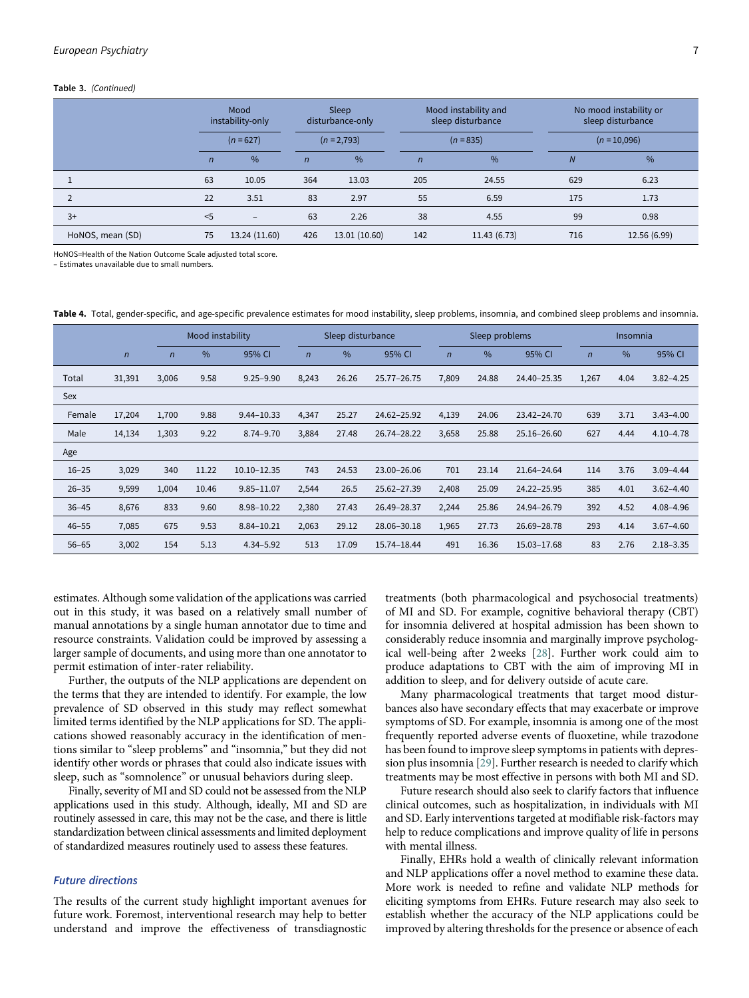#### Table 3. (Continued)

|                  |              | Mood<br>instability-only<br>$(n = 627)$ |                | Sleep<br>disturbance-only |                | Mood instability and<br>sleep disturbance | No mood instability or<br>sleep disturbance |              |  |
|------------------|--------------|-----------------------------------------|----------------|---------------------------|----------------|-------------------------------------------|---------------------------------------------|--------------|--|
|                  |              |                                         |                | $(n = 2,793)$             |                | $(n = 835)$                               | $(n = 10,096)$                              |              |  |
|                  | $\mathsf{n}$ | $\frac{0}{0}$                           | $\overline{n}$ | $\frac{0}{6}$             | $\overline{n}$ | $\frac{9}{6}$                             | $\overline{N}$                              | %            |  |
|                  | 63           | 10.05                                   | 364            | 13.03                     | 205            | 24.55                                     | 629                                         | 6.23         |  |
| $\overline{2}$   | 22           | 3.51                                    | 83             | 2.97                      | 55             | 6.59                                      | 175                                         | 1.73         |  |
| $3+$             | $<$ 5        | $\overline{\phantom{0}}$                | 63             | 2.26                      | 38             | 4.55                                      | 99                                          | 0.98         |  |
| HoNOS, mean (SD) | 75           | 13.24 (11.60)                           | 426            | 13.01 (10.60)             | 142            | 11.43 (6.73)                              | 716                                         | 12.56 (6.99) |  |

HoNOS=Health of the Nation Outcome Scale adjusted total score.

– Estimates unavailable due to small numbers.

<span id="page-6-0"></span>Table 4. Total, gender-specific, and age-specific prevalence estimates for mood instability, sleep problems, insomnia, and combined sleep problems and insomnia.

|           |              | Mood instability |       |                |                | Sleep disturbance |             |                | Sleep problems |             | Insomnia       |               |               |
|-----------|--------------|------------------|-------|----------------|----------------|-------------------|-------------|----------------|----------------|-------------|----------------|---------------|---------------|
|           | $\mathsf{n}$ | $\overline{n}$   | $\%$  | 95% CI         | $\overline{n}$ | $\%$              | 95% CI      | $\overline{n}$ | $\frac{0}{0}$  | 95% CI      | $\overline{n}$ | $\frac{0}{0}$ | 95% CI        |
| Total     | 31,391       | 3,006            | 9.58  | $9.25 - 9.90$  | 8,243          | 26.26             | 25.77-26.75 | 7,809          | 24.88          | 24.40-25.35 | 1,267          | 4.04          | $3.82 - 4.25$ |
| Sex       |              |                  |       |                |                |                   |             |                |                |             |                |               |               |
| Female    | 17,204       | 1,700            | 9.88  | $9.44 - 10.33$ | 4,347          | 25.27             | 24.62-25.92 | 4,139          | 24.06          | 23.42-24.70 | 639            | 3.71          | $3.43 - 4.00$ |
| Male      | 14,134       | 1,303            | 9.22  | $8.74 - 9.70$  | 3,884          | 27.48             | 26.74-28.22 | 3,658          | 25.88          | 25.16-26.60 | 627            | 4.44          | $4.10 - 4.78$ |
| Age       |              |                  |       |                |                |                   |             |                |                |             |                |               |               |
| $16 - 25$ | 3,029        | 340              | 11.22 | 10.10-12.35    | 743            | 24.53             | 23.00-26.06 | 701            | 23.14          | 21.64-24.64 | 114            | 3.76          | $3.09 - 4.44$ |
| $26 - 35$ | 9,599        | 1,004            | 10.46 | $9.85 - 11.07$ | 2,544          | 26.5              | 25.62-27.39 | 2,408          | 25.09          | 24.22-25.95 | 385            | 4.01          | $3.62 - 4.40$ |
| $36 - 45$ | 8,676        | 833              | 9.60  | 8.98-10.22     | 2,380          | 27.43             | 26.49-28.37 | 2,244          | 25.86          | 24.94-26.79 | 392            | 4.52          | 4.08-4.96     |
| $46 - 55$ | 7,085        | 675              | 9.53  | 8.84-10.21     | 2,063          | 29.12             | 28.06-30.18 | 1,965          | 27.73          | 26.69-28.78 | 293            | 4.14          | $3.67 - 4.60$ |
| $56 - 65$ | 3,002        | 154              | 5.13  | $4.34 - 5.92$  | 513            | 17.09             | 15.74-18.44 | 491            | 16.36          | 15.03-17.68 | 83             | 2.76          | $2.18 - 3.35$ |

estimates. Although some validation of the applications was carried out in this study, it was based on a relatively small number of manual annotations by a single human annotator due to time and resource constraints. Validation could be improved by assessing a larger sample of documents, and using more than one annotator to permit estimation of inter-rater reliability.

Further, the outputs of the NLP applications are dependent on the terms that they are intended to identify. For example, the low prevalence of SD observed in this study may reflect somewhat limited terms identified by the NLP applications for SD. The applications showed reasonably accuracy in the identification of mentions similar to "sleep problems" and "insomnia," but they did not identify other words or phrases that could also indicate issues with sleep, such as "somnolence" or unusual behaviors during sleep.

Finally, severity of MI and SD could not be assessed from the NLP applications used in this study. Although, ideally, MI and SD are routinely assessed in care, this may not be the case, and there is little standardization between clinical assessments and limited deployment of standardized measures routinely used to assess these features.

# Future directions

The results of the current study highlight important avenues for future work. Foremost, interventional research may help to better understand and improve the effectiveness of transdiagnostic treatments (both pharmacological and psychosocial treatments) of MI and SD. For example, cognitive behavioral therapy (CBT) for insomnia delivered at hospital admission has been shown to considerably reduce insomnia and marginally improve psychological well-being after 2 weeks [[28\]](#page-8-24). Further work could aim to produce adaptations to CBT with the aim of improving MI in addition to sleep, and for delivery outside of acute care.

Many pharmacological treatments that target mood disturbances also have secondary effects that may exacerbate or improve symptoms of SD. For example, insomnia is among one of the most frequently reported adverse events of fluoxetine, while trazodone has been found to improve sleep symptoms in patients with depression plus insomnia [[29\]](#page-8-25). Further research is needed to clarify which treatments may be most effective in persons with both MI and SD.

Future research should also seek to clarify factors that influence clinical outcomes, such as hospitalization, in individuals with MI and SD. Early interventions targeted at modifiable risk-factors may help to reduce complications and improve quality of life in persons with mental illness.

Finally, EHRs hold a wealth of clinically relevant information and NLP applications offer a novel method to examine these data. More work is needed to refine and validate NLP methods for eliciting symptoms from EHRs. Future research may also seek to establish whether the accuracy of the NLP applications could be improved by altering thresholds for the presence or absence of each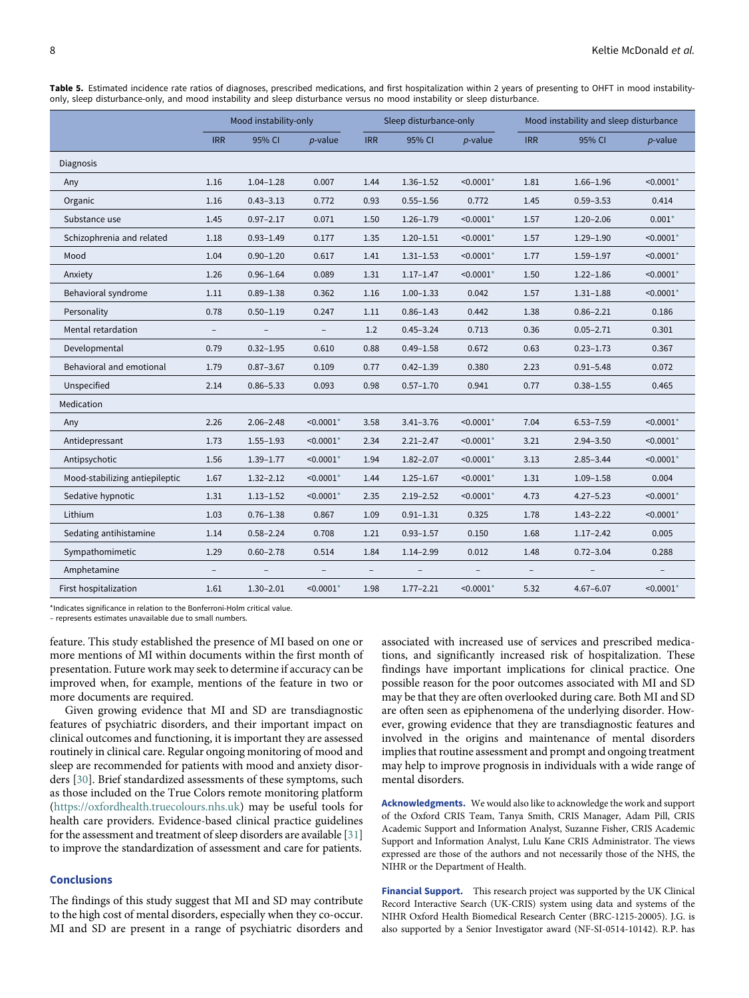|                                | Mood instability-only    |                          |                          |                          | Sleep disturbance-only |              | Mood instability and sleep disturbance |               |                         |  |
|--------------------------------|--------------------------|--------------------------|--------------------------|--------------------------|------------------------|--------------|----------------------------------------|---------------|-------------------------|--|
|                                | <b>IRR</b>               | 95% CI                   | $p$ -value               | <b>IRR</b>               | 95% CI                 | $p$ -value   | <b>IRR</b>                             | 95% CI        | $p$ -value              |  |
| <b>Diagnosis</b>               |                          |                          |                          |                          |                        |              |                                        |               |                         |  |
| Any                            | 1.16                     | $1.04 - 1.28$            | 0.007                    | 1.44                     | $1.36 - 1.52$          | $< 0.0001$ * | 1.81                                   | $1.66 - 1.96$ | $< 0.0001$ *            |  |
| Organic                        | 1.16                     | $0.43 - 3.13$            | 0.772                    | 0.93                     | $0.55 - 1.56$          | 0.772        | 1.45                                   | $0.59 - 3.53$ | 0.414                   |  |
| Substance use                  | 1.45                     | $0.97 - 2.17$            | 0.071                    | 1.50                     | $1.26 - 1.79$          | $< 0.0001*$  | 1.57                                   | $1.20 - 2.06$ | $0.001*$                |  |
| Schizophrenia and related      | 1.18                     | $0.93 - 1.49$            | 0.177                    | 1.35                     | $1.20 - 1.51$          | $< 0.0001*$  | 1.57                                   | $1.29 - 1.90$ | $< 0.0001*$             |  |
| Mood                           | 1.04                     | $0.90 - 1.20$            | 0.617                    | 1.41                     | $1.31 - 1.53$          | $< 0.0001$ * | 1.77                                   | $1.59 - 1.97$ | $< 0.0001$ *            |  |
| Anxiety                        | 1.26                     | $0.96 - 1.64$            | 0.089                    | 1.31                     | $1.17 - 1.47$          | $< 0.0001$ * | 1.50                                   | $1.22 - 1.86$ | $< 0.0001$ *            |  |
| Behavioral syndrome            | 1.11                     | $0.89 - 1.38$            | 0.362                    | 1.16                     | $1.00 - 1.33$          | 0.042        | 1.57                                   | $1.31 - 1.88$ | $< 0.0001$ *            |  |
| Personality                    | 0.78                     | $0.50 - 1.19$            | 0.247                    | 1.11                     | $0.86 - 1.43$          | 0.442        | 1.38                                   | $0.86 - 2.21$ | 0.186                   |  |
| Mental retardation             | $\overline{\phantom{a}}$ | $\overline{\phantom{a}}$ | $\overline{\phantom{a}}$ | 1.2                      | $0.45 - 3.24$          | 0.713        | 0.36                                   | $0.05 - 2.71$ | 0.301                   |  |
| Developmental                  | 0.79                     | $0.32 - 1.95$            | 0.610                    | 0.88                     | $0.49 - 1.58$          | 0.672        | 0.63                                   | $0.23 - 1.73$ | 0.367                   |  |
| Behavioral and emotional       | 1.79                     | $0.87 - 3.67$            | 0.109                    | 0.77                     | $0.42 - 1.39$          | 0.380        | 2.23                                   | $0.91 - 5.48$ | 0.072                   |  |
| Unspecified                    | 2.14                     | $0.86 - 5.33$            | 0.093                    | 0.98                     | $0.57 - 1.70$          | 0.941        | 0.77                                   | $0.38 - 1.55$ | 0.465                   |  |
| Medication                     |                          |                          |                          |                          |                        |              |                                        |               |                         |  |
| Any                            | 2.26                     | $2.06 - 2.48$            | $< 0.0001$ *             | 3.58                     | $3.41 - 3.76$          | $< 0.0001*$  | 7.04                                   | $6.53 - 7.59$ | $< 0.0001$ *            |  |
| Antidepressant                 | 1.73                     | $1.55 - 1.93$            | $< 0.0001$ *             | 2.34                     | $2.21 - 2.47$          | $< 0.0001*$  | 3.21                                   | $2.94 - 3.50$ | $< 0.0001$ *            |  |
| Antipsychotic                  | 1.56                     | $1.39 - 1.77$            | $< 0.0001$ *             | 1.94                     | $1.82 - 2.07$          | $< 0.0001*$  | 3.13                                   | $2.85 - 3.44$ | $< 0.0001$ *            |  |
| Mood-stabilizing antiepileptic | 1.67                     | $1.32 - 2.12$            | $< 0.0001$ *             | 1.44                     | $1.25 - 1.67$          | $< 0.0001*$  | 1.31                                   | $1.09 - 1.58$ | 0.004                   |  |
| Sedative hypnotic              | 1.31                     | $1.13 - 1.52$            | $< 0.0001$ <sup>*</sup>  | 2.35                     | $2.19 - 2.52$          | $< 0.0001*$  | 4.73                                   | $4.27 - 5.23$ | $< 0.0001$ *            |  |
| Lithium                        | 1.03                     | $0.76 - 1.38$            | 0.867                    | 1.09                     | $0.91 - 1.31$          | 0.325        | 1.78                                   | $1.43 - 2.22$ | $< 0.0001$ <sup>*</sup> |  |
| Sedating antihistamine         | 1.14                     | $0.58 - 2.24$            | 0.708                    | 1.21                     | $0.93 - 1.57$          | 0.150        | 1.68                                   | $1.17 - 2.42$ | 0.005                   |  |
| Sympathomimetic                | 1.29                     | $0.60 - 2.78$            | 0.514                    | 1.84                     | $1.14 - 2.99$          | 0.012        | 1.48                                   | $0.72 - 3.04$ | 0.288                   |  |
| Amphetamine                    | $\overline{\phantom{0}}$ |                          |                          | $\overline{\phantom{a}}$ |                        |              |                                        |               |                         |  |
| First hospitalization          | 1.61                     | $1.30 - 2.01$            | $< 0.0001*$              | 1.98                     | $1.77 - 2.21$          | $< 0.0001$ * | 5.32                                   | $4.67 - 6.07$ | $< 0.0001*$             |  |

<span id="page-7-0"></span>Table 5. Estimated incidence rate ratios of diagnoses, prescribed medications, and first hospitalization within 2 years of presenting to OHFT in mood instabilityonly, sleep disturbance-only, and mood instability and sleep disturbance versus no mood instability or sleep disturbance.

\*Indicates significance in relation to the Bonferroni-Holm critical value.

<span id="page-7-1"></span>– represents estimates unavailable due to small numbers.

feature. This study established the presence of MI based on one or more mentions of MI within documents within the first month of presentation. Future work may seek to determine if accuracy can be improved when, for example, mentions of the feature in two or more documents are required.

Given growing evidence that MI and SD are transdiagnostic features of psychiatric disorders, and their important impact on clinical outcomes and functioning, it is important they are assessed routinely in clinical care. Regular ongoing monitoring of mood and sleep are recommended for patients with mood and anxiety disorders [\[30](#page-8-26)]. Brief standardized assessments of these symptoms, such as those included on the True Colors remote monitoring platform ([https://oxfordhealth.truecolours.nhs.uk\)](https://oxfordhealth.truecolours.nhs.uk) may be useful tools for health care providers. Evidence-based clinical practice guidelines for the assessment and treatment of sleep disorders are available [[31\]](#page-8-27) to improve the standardization of assessment and care for patients.

# Conclusions

The findings of this study suggest that MI and SD may contribute to the high cost of mental disorders, especially when they co-occur. MI and SD are present in a range of psychiatric disorders and

associated with increased use of services and prescribed medications, and significantly increased risk of hospitalization. These findings have important implications for clinical practice. One possible reason for the poor outcomes associated with MI and SD may be that they are often overlooked during care. Both MI and SD are often seen as epiphenomena of the underlying disorder. However, growing evidence that they are transdiagnostic features and involved in the origins and maintenance of mental disorders implies that routine assessment and prompt and ongoing treatment may help to improve prognosis in individuals with a wide range of mental disorders.

Acknowledgments. We would also like to acknowledge the work and support of the Oxford CRIS Team, Tanya Smith, CRIS Manager, Adam Pill, CRIS Academic Support and Information Analyst, Suzanne Fisher, CRIS Academic Support and Information Analyst, Lulu Kane CRIS Administrator. The views expressed are those of the authors and not necessarily those of the NHS, the NIHR or the Department of Health.

Financial Support. This research project was supported by the UK Clinical Record Interactive Search (UK-CRIS) system using data and systems of the NIHR Oxford Health Biomedical Research Center (BRC-1215-20005). J.G. is also supported by a Senior Investigator award (NF-SI-0514-10142). R.P. has